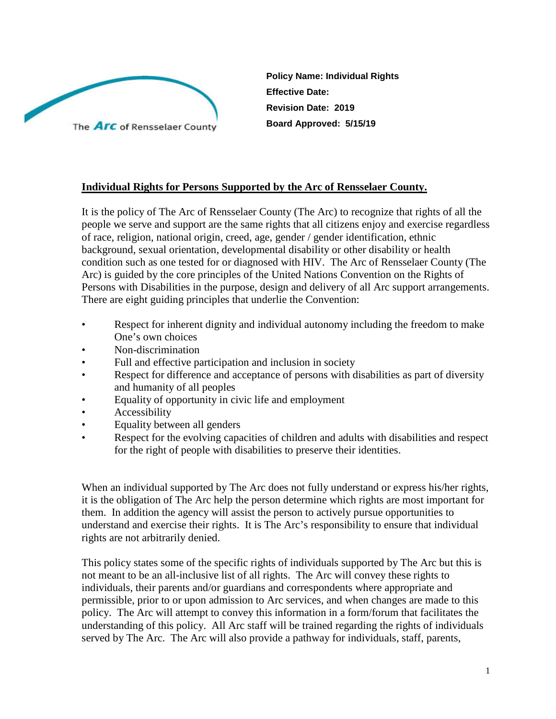

**Policy Name: Individual Rights Effective Date: Revision Date: 2019 Board Approved: 5/15/19**

### **Individual Rights for Persons Supported by the Arc of Rensselaer County.**

It is the policy of The Arc of Rensselaer County (The Arc) to recognize that rights of all the people we serve and support are the same rights that all citizens enjoy and exercise regardless of race, religion, national origin, creed, age, gender / gender identification, ethnic background, sexual orientation, developmental disability or other disability or health condition such as one tested for or diagnosed with HIV. The Arc of Rensselaer County (The Arc) is guided by the core principles of the United Nations Convention on the Rights of Persons with Disabilities in the purpose, design and delivery of all Arc support arrangements. There are eight guiding principles that underlie the Convention:

- Respect for inherent dignity and individual autonomy including the freedom to make One's own choices
- Non-discrimination
- Full and effective participation and inclusion in society
- Respect for difference and acceptance of persons with disabilities as part of diversity and humanity of all peoples
- Equality of opportunity in civic life and employment
- **Accessibility**
- Equality between all genders
- Respect for the evolving capacities of children and adults with disabilities and respect for the right of people with disabilities to preserve their identities.

When an individual supported by The Arc does not fully understand or express his/her rights, it is the obligation of The Arc help the person determine which rights are most important for them. In addition the agency will assist the person to actively pursue opportunities to understand and exercise their rights. It is The Arc's responsibility to ensure that individual rights are not arbitrarily denied.

This policy states some of the specific rights of individuals supported by The Arc but this is not meant to be an all-inclusive list of all rights. The Arc will convey these rights to individuals, their parents and/or guardians and correspondents where appropriate and permissible, prior to or upon admission to Arc services, and when changes are made to this policy. The Arc will attempt to convey this information in a form/forum that facilitates the understanding of this policy. All Arc staff will be trained regarding the rights of individuals served by The Arc. The Arc will also provide a pathway for individuals, staff, parents,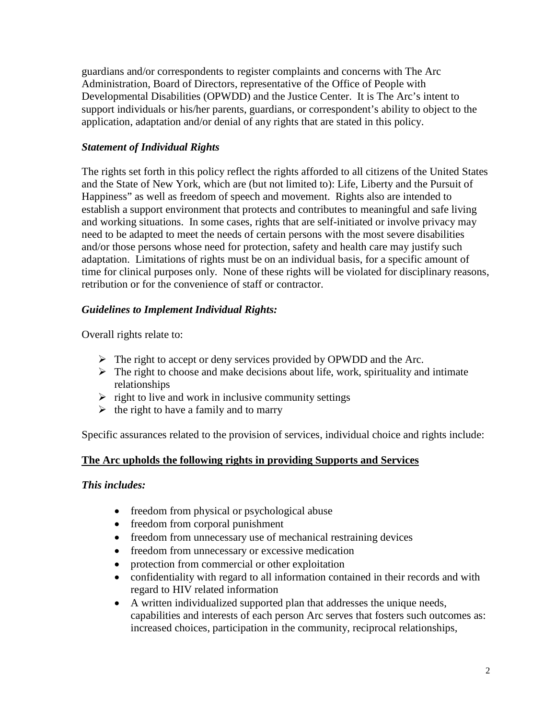guardians and/or correspondents to register complaints and concerns with The Arc Administration, Board of Directors, representative of the Office of People with Developmental Disabilities (OPWDD) and the Justice Center. It is The Arc's intent to support individuals or his/her parents, guardians, or correspondent's ability to object to the application, adaptation and/or denial of any rights that are stated in this policy.

# *Statement of Individual Rights*

The rights set forth in this policy reflect the rights afforded to all citizens of the United States and the State of New York, which are (but not limited to): Life, Liberty and the Pursuit of Happiness" as well as freedom of speech and movement. Rights also are intended to establish a support environment that protects and contributes to meaningful and safe living and working situations. In some cases, rights that are self-initiated or involve privacy may need to be adapted to meet the needs of certain persons with the most severe disabilities and/or those persons whose need for protection, safety and health care may justify such adaptation. Limitations of rights must be on an individual basis, for a specific amount of time for clinical purposes only. None of these rights will be violated for disciplinary reasons, retribution or for the convenience of staff or contractor.

## *Guidelines to Implement Individual Rights:*

Overall rights relate to:

- $\triangleright$  The right to accept or deny services provided by OPWDD and the Arc.
- $\triangleright$  The right to choose and make decisions about life, work, spirituality and intimate relationships
- $\triangleright$  right to live and work in inclusive community settings
- $\triangleright$  the right to have a family and to marry

Specific assurances related to the provision of services, individual choice and rights include:

# **The Arc upholds the following rights in providing Supports and Services**

### *This includes:*

- freedom from physical or psychological abuse
- freedom from corporal punishment
- freedom from unnecessary use of mechanical restraining devices
- freedom from unnecessary or excessive medication
- protection from commercial or other exploitation
- confidentiality with regard to all information contained in their records and with regard to HIV related information
- A written individualized supported plan that addresses the unique needs, capabilities and interests of each person Arc serves that fosters such outcomes as: increased choices, participation in the community, reciprocal relationships,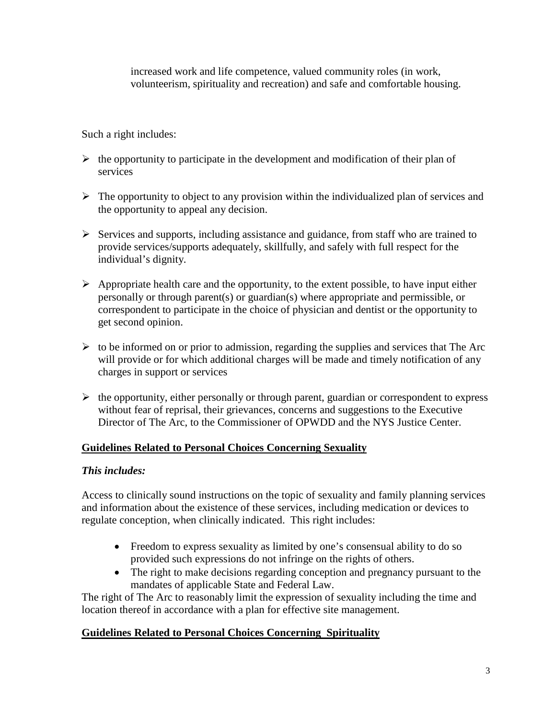increased work and life competence, valued community roles (in work, volunteerism, spirituality and recreation) and safe and comfortable housing.

Such a right includes:

- $\triangleright$  the opportunity to participate in the development and modification of their plan of services
- $\triangleright$  The opportunity to object to any provision within the individualized plan of services and the opportunity to appeal any decision.
- $\triangleright$  Services and supports, including assistance and guidance, from staff who are trained to provide services/supports adequately, skillfully, and safely with full respect for the individual's dignity.
- $\triangleright$  Appropriate health care and the opportunity, to the extent possible, to have input either personally or through parent(s) or guardian(s) where appropriate and permissible, or correspondent to participate in the choice of physician and dentist or the opportunity to get second opinion.
- $\triangleright$  to be informed on or prior to admission, regarding the supplies and services that The Arc will provide or for which additional charges will be made and timely notification of any charges in support or services
- $\triangleright$  the opportunity, either personally or through parent, guardian or correspondent to express without fear of reprisal, their grievances, concerns and suggestions to the Executive Director of The Arc, to the Commissioner of OPWDD and the NYS Justice Center.

# **Guidelines Related to Personal Choices Concerning Sexuality**

### *This includes:*

Access to clinically sound instructions on the topic of sexuality and family planning services and information about the existence of these services, including medication or devices to regulate conception, when clinically indicated. This right includes:

- Freedom to express sexuality as limited by one's consensual ability to do so provided such expressions do not infringe on the rights of others.
- The right to make decisions regarding conception and pregnancy pursuant to the mandates of applicable State and Federal Law.

The right of The Arc to reasonably limit the expression of sexuality including the time and location thereof in accordance with a plan for effective site management.

### **Guidelines Related to Personal Choices Concerning Spirituality**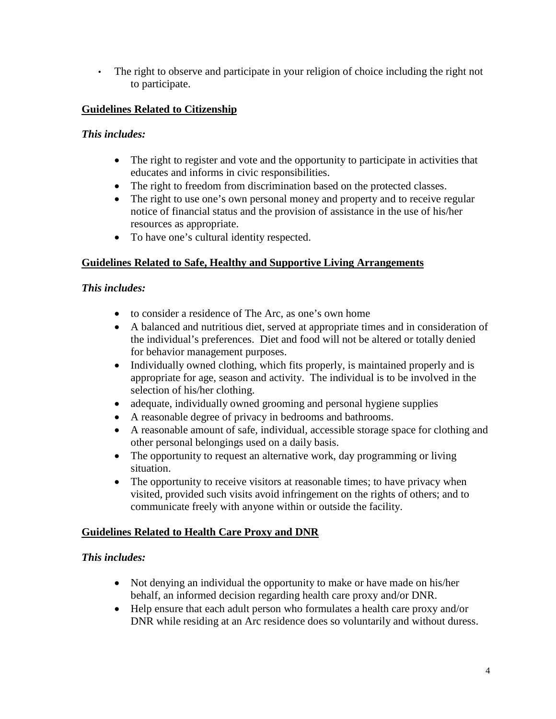• The right to observe and participate in your religion of choice including the right not to participate.

# **Guidelines Related to Citizenship**

### *This includes:*

- The right to register and vote and the opportunity to participate in activities that educates and informs in civic responsibilities.
- The right to freedom from discrimination based on the protected classes.
- The right to use one's own personal money and property and to receive regular notice of financial status and the provision of assistance in the use of his/her resources as appropriate.
- To have one's cultural identity respected.

## **Guidelines Related to Safe, Healthy and Supportive Living Arrangements**

### *This includes:*

- to consider a residence of The Arc, as one's own home
- A balanced and nutritious diet, served at appropriate times and in consideration of the individual's preferences. Diet and food will not be altered or totally denied for behavior management purposes.
- Individually owned clothing, which fits properly, is maintained properly and is appropriate for age, season and activity. The individual is to be involved in the selection of his/her clothing.
- adequate, individually owned grooming and personal hygiene supplies
- A reasonable degree of privacy in bedrooms and bathrooms.
- A reasonable amount of safe, individual, accessible storage space for clothing and other personal belongings used on a daily basis.
- The opportunity to request an alternative work, day programming or living situation.
- The opportunity to receive visitors at reasonable times; to have privacy when visited, provided such visits avoid infringement on the rights of others; and to communicate freely with anyone within or outside the facility.

### **Guidelines Related to Health Care Proxy and DNR**

### *This includes:*

- Not denying an individual the opportunity to make or have made on his/her behalf, an informed decision regarding health care proxy and/or DNR.
- Help ensure that each adult person who formulates a health care proxy and/or DNR while residing at an Arc residence does so voluntarily and without duress.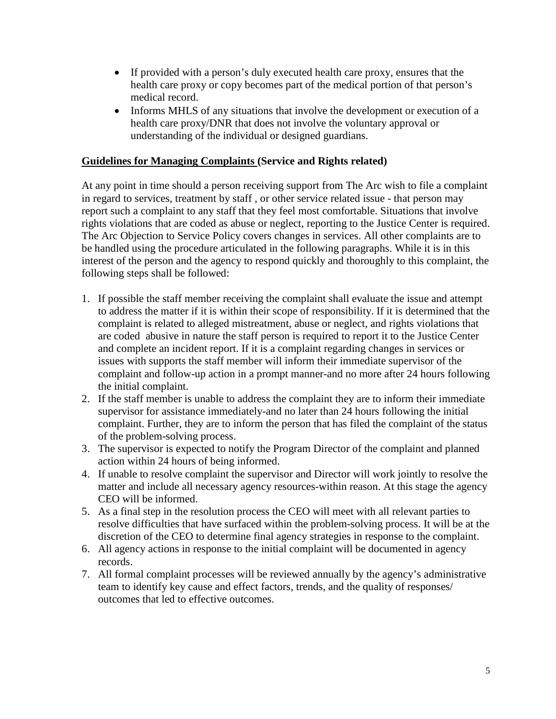- If provided with a person's duly executed health care proxy, ensures that the health care proxy or copy becomes part of the medical portion of that person's medical record.
- Informs MHLS of any situations that involve the development or execution of a health care proxy/DNR that does not involve the voluntary approval or understanding of the individual or designed guardians.

#### **Guidelines for Managing Complaints (Service and Rights related)**

At any point in time should a person receiving support from The Arc wish to file a complaint in regard to services, treatment by staff , or other service related issue - that person may report such a complaint to any staff that they feel most comfortable. Situations that involve rights violations that are coded as abuse or neglect, reporting to the Justice Center is required. The Arc Objection to Service Policy covers changes in services. All other complaints are to be handled using the procedure articulated in the following paragraphs. While it is in this interest of the person and the agency to respond quickly and thoroughly to this complaint, the following steps shall be followed:

- 1. If possible the staff member receiving the complaint shall evaluate the issue and attempt to address the matter if it is within their scope of responsibility. If it is determined that the complaint is related to alleged mistreatment, abuse or neglect, and rights violations that are coded abusive in nature the staff person is required to report it to the Justice Center and complete an incident report. If it is a complaint regarding changes in services or issues with supports the staff member will inform their immediate supervisor of the complaint and follow-up action in a prompt manner-and no more after 24 hours following the initial complaint.
- 2. If the staff member is unable to address the complaint they are to inform their immediate supervisor for assistance immediately-and no later than 24 hours following the initial complaint. Further, they are to inform the person that has filed the complaint of the status of the problem-solving process.
- 3. The supervisor is expected to notify the Program Director of the complaint and planned action within 24 hours of being informed.
- 4. If unable to resolve complaint the supervisor and Director will work jointly to resolve the matter and include all necessary agency resources-within reason. At this stage the agency CEO will be informed.
- 5. As a final step in the resolution process the CEO will meet with all relevant parties to resolve difficulties that have surfaced within the problem-solving process. It will be at the discretion of the CEO to determine final agency strategies in response to the complaint.
- 6. All agency actions in response to the initial complaint will be documented in agency records.
- 7. All formal complaint processes will be reviewed annually by the agency's administrative team to identify key cause and effect factors, trends, and the quality of responses/ outcomes that led to effective outcomes.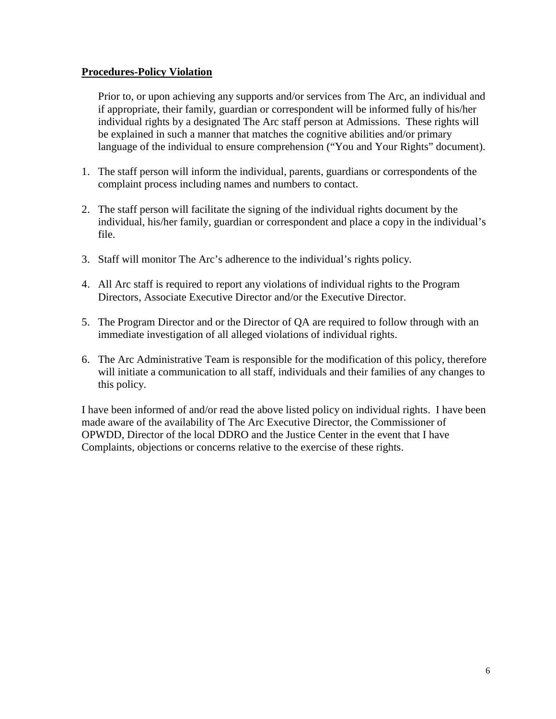#### **Procedures-Policy Violation**

Prior to, or upon achieving any supports and/or services from The Arc, an individual and if appropriate, their family, guardian or correspondent will be informed fully of his/her individual rights by a designated The Arc staff person at Admissions. These rights will be explained in such a manner that matches the cognitive abilities and/or primary language of the individual to ensure comprehension ("You and Your Rights" document).

- 1. The staff person will inform the individual, parents, guardians or correspondents of the complaint process including names and numbers to contact.
- 2. The staff person will facilitate the signing of the individual rights document by the individual, his/her family, guardian or correspondent and place a copy in the individual's file.
- 3. Staff will monitor The Arc's adherence to the individual's rights policy.
- 4. All Arc staff is required to report any violations of individual rights to the Program Directors, Associate Executive Director and/or the Executive Director.
- 5. The Program Director and or the Director of QA are required to follow through with an immediate investigation of all alleged violations of individual rights.
- 6. The Arc Administrative Team is responsible for the modification of this policy, therefore will initiate a communication to all staff, individuals and their families of any changes to this policy.

I have been informed of and/or read the above listed policy on individual rights. I have been made aware of the availability of The Arc Executive Director, the Commissioner of OPWDD, Director of the local DDRO and the Justice Center in the event that I have Complaints, objections or concerns relative to the exercise of these rights.